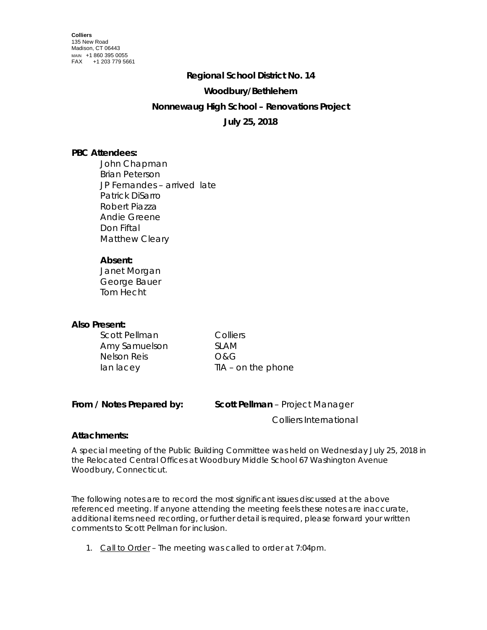## **Regional School District No. 14**

#### **Woodbury/Bethlehem**

## **Nonnewaug High School – Renovations Project**

# **July 25, 2018**

## **PBC Attendees:**

John Chapman Brian Peterson JP Fernandes – arrived late Patrick DiSarro Robert Piazza Andie Greene Don Fiftal Matthew Cleary

## **Absent:**

Janet Morgan George Bauer Tom Hecht

# **Also Present:**

| Scott Pellman | Colliers             |
|---------------|----------------------|
| Amy Samuelson | SI AM                |
| Nelson Reis   | O&G                  |
| lan lacey     | $TIA - on$ the phone |
|               |                      |

| From / Notes Prepared by: | Scott Pellman - Project Manager |
|---------------------------|---------------------------------|
|                           | Colliers International          |

## **Attachments:**

A special meeting of the Public Building Committee was held on Wednesday July 25, 2018 in the Relocated Central Offices at Woodbury Middle School 67 Washington Avenue Woodbury, Connecticut.

The following notes are to record the most significant issues discussed at the above referenced meeting. If anyone attending the meeting feels these notes are inaccurate, additional items need recording, or further detail is required, please forward your written comments to Scott Pellman for inclusion.

1. Call to Order – The meeting was called to order at 7:04pm.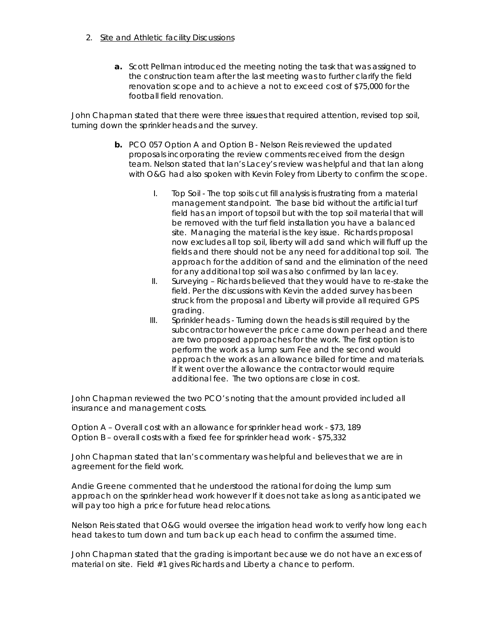- 2. Site and Athletic facility Discussions
	- **a.** Scott Pellman introduced the meeting noting the task that was assigned to the construction team after the last meeting was to further clarify the field renovation scope and to achieve a not to exceed cost of \$75,000 for the football field renovation.

John Chapman stated that there were three issues that required attention, revised top soil, turning down the sprinkler heads and the survey.

- **b.** PCO 057 Option A and Option B Nelson Reis reviewed the updated proposals incorporating the review comments received from the design team. Nelson stated that Ian's Lacey's review was helpful and that Ian along with O&G had also spoken with Kevin Foley from Liberty to confirm the scope.
	- I. Top Soil The top soils cut fill analysis is frustrating from a material management standpoint. The base bid without the artificial turf field has an import of topsoil but with the top soil material that will be removed with the turf field installation you have a balanced site. Managing the material is the key issue. Richards proposal now excludes all top soil, liberty will add sand which will fluff up the fields and there should not be any need for additional top soil. The approach for the addition of sand and the elimination of the need for any additional top soil was also confirmed by Ian lacey.
	- II. Surveying Richards believed that they would have to re-stake the field. Per the discussions with Kevin the added survey has been struck from the proposal and Liberty will provide all required GPS grading.
	- III. Sprinkler heads Turning down the heads is still required by the subcontractor however the price came down per head and there are two proposed approaches for the work. The first option is to perform the work as a lump sum Fee and the second would approach the work as an allowance billed for time and materials. If it went over the allowance the contractor would require additional fee. The two options are close in cost.

John Chapman reviewed the two PCO's noting that the amount provided included all insurance and management costs.

Option A – Overall cost with an allowance for sprinkler head work - \$73, 189 Option B – overall costs with a fixed fee for sprinkler head work - \$75,332

John Chapman stated that Ian's commentary was helpful and believes that we are in agreement for the field work.

Andie Greene commented that he understood the rational for doing the lump sum approach on the sprinkler head work however If it does not take as long as anticipated we will pay too high a price for future head relocations.

Nelson Reis stated that O&G would oversee the irrigation head work to verify how long each head takes to turn down and turn back up each head to confirm the assumed time.

John Chapman stated that the grading is important because we do not have an excess of material on site. Field #1 gives Richards and Liberty a chance to perform.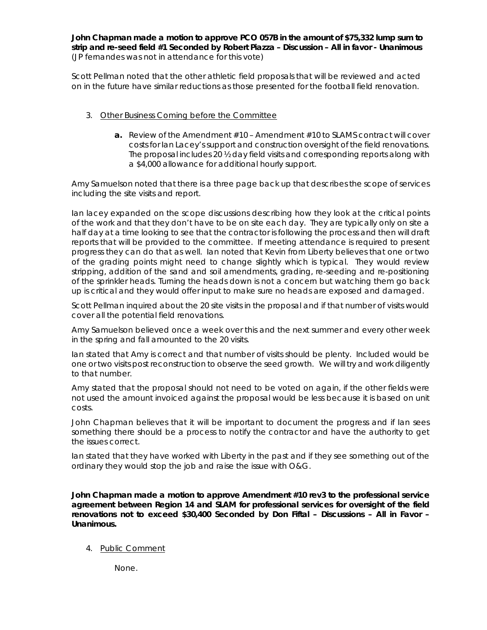**John Chapman made a motion to approve PCO 057B in the amount of \$75,332 lump sum to strip and re-seed field #1 Seconded by Robert Piazza – Discussion – All in favor - Unanimous** (JP fernandes was not in attendance for this vote)

Scott Pellman noted that the other athletic field proposals that will be reviewed and acted on in the future have similar reductions as those presented for the football field renovation.

- 3. Other Business Coming before the Committee
	- **a.** Review of the Amendment #10 Amendment #10 to SLAMS contract will cover costs for Ian Lacey's support and construction oversight of the field renovations. The proposal includes 20 ½ day field visits and corresponding reports along with a \$4,000 allowance for additional hourly support.

Amy Samuelson noted that there is a three page back up that describes the scope of services including the site visits and report.

Ian lacey expanded on the scope discussions describing how they look at the critical points of the work and that they don't have to be on site each day. They are typically only on site a half day at a time looking to see that the contractor is following the process and then will draft reports that will be provided to the committee. If meeting attendance is required to present progress they can do that as well. Ian noted that Kevin from Liberty believes that one or two of the grading points might need to change slightly which is typical. They would review stripping, addition of the sand and soil amendments, grading, re-seeding and re-positioning of the sprinkler heads. Turning the heads down is not a concern but watching them go back up is critical and they would offer input to make sure no heads are exposed and damaged.

Scott Pellman inquired about the 20 site visits in the proposal and if that number of visits would cover all the potential field renovations.

Amy Samuelson believed once a week over this and the next summer and every other week in the spring and fall amounted to the 20 visits.

Ian stated that Amy is correct and that number of visits should be plenty. Included would be one or two visits post reconstruction to observe the seed growth. We will try and work diligently to that number.

Amy stated that the proposal should not need to be voted on again, if the other fields were not used the amount invoiced against the proposal would be less because it is based on unit costs.

John Chapman believes that it will be important to document the progress and if Ian sees something there should be a process to notify the contractor and have the authority to get the issues correct.

Ian stated that they have worked with Liberty in the past and if they see something out of the ordinary they would stop the job and raise the issue with O&G.

**John Chapman made a motion to approve Amendment #10 rev3 to the professional service agreement between Region 14 and SLAM for professional services for oversight of the field renovations not to exceed \$30,400 Seconded by Don Fiftal – Discussions – All in Favor – Unanimous.**

4. Public Comment

None.